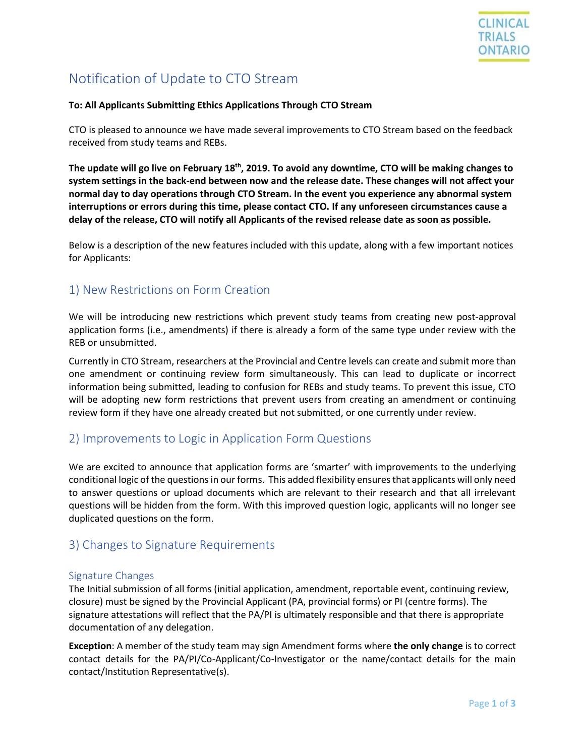

# Notification of Update to CTO Stream

#### **To: All Applicants Submitting Ethics Applications Through CTO Stream**

CTO is pleased to announce we have made several improvements to CTO Stream based on the feedback received from study teams and REBs.

**The update will go live on February 18 th , 2019. To avoid any downtime, CTO will be making changes to system settings in the back-end between now and the release date. These changes will not affect your normal day to day operations through CTO Stream. In the event you experience any abnormal system interruptions or errors during this time, please contact CTO. If any unforeseen circumstances cause a delay of the release, CTO will notify all Applicants of the revised release date as soon as possible.**

Below is a description of the new features included with this update, along with a few important notices for Applicants:

### 1) New Restrictions on Form Creation

We will be introducing new restrictions which prevent study teams from creating new post-approval application forms (i.e., amendments) if there is already a form of the same type under review with the REB or unsubmitted.

Currently in CTO Stream, researchers at the Provincial and Centre levels can create and submit more than one amendment or continuing review form simultaneously. This can lead to duplicate or incorrect information being submitted, leading to confusion for REBs and study teams. To prevent this issue, CTO will be adopting new form restrictions that prevent users from creating an amendment or continuing review form if they have one already created but not submitted, or one currently under review.

### 2) Improvements to Logic in Application Form Questions

We are excited to announce that application forms are 'smarter' with improvements to the underlying conditional logic of the questions in our forms. This added flexibility ensures that applicants will only need to answer questions or upload documents which are relevant to their research and that all irrelevant questions will be hidden from the form. With this improved question logic, applicants will no longer see duplicated questions on the form.

### 3) Changes to Signature Requirements

#### Signature Changes

The Initial submission of all forms (initial application, amendment, reportable event, continuing review, closure) must be signed by the Provincial Applicant (PA, provincial forms) or PI (centre forms). The signature attestations will reflect that the PA/PI is ultimately responsible and that there is appropriate documentation of any delegation.

**Exception**: A member of the study team may sign Amendment forms where **the only change** is to correct contact details for the PA/PI/Co-Applicant/Co-Investigator or the name/contact details for the main contact/Institution Representative(s).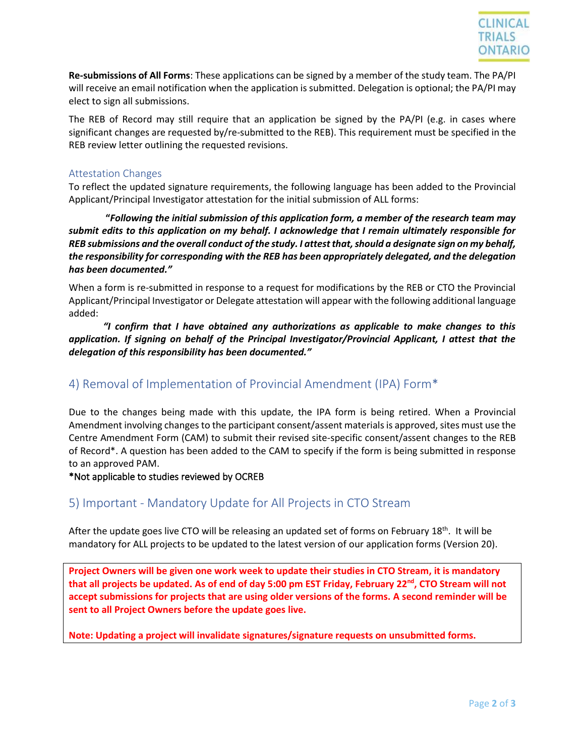

**Re-submissions of All Forms**: These applications can be signed by a member of the study team. The PA/PI will receive an email notification when the application is submitted. Delegation is optional; the PA/PI may elect to sign all submissions.

The REB of Record may still require that an application be signed by the PA/PI (e.g. in cases where significant changes are requested by/re-submitted to the REB). This requirement must be specified in the REB review letter outlining the requested revisions.

#### Attestation Changes

To reflect the updated signature requirements, the following language has been added to the Provincial Applicant/Principal Investigator attestation for the initial submission of ALL forms:

**"***Following the initial submission of this application form, a member of the research team may submit edits to this application on my behalf. I acknowledge that I remain ultimately responsible for REB submissions and the overall conduct of the study. I attest that, should a designate sign on my behalf, the responsibility for corresponding with the REB has been appropriately delegated, and the delegation has been documented."*

When a form is re-submitted in response to a request for modifications by the REB or CTO the Provincial Applicant/Principal Investigator or Delegate attestation will appear with the following additional language added:

*"I confirm that I have obtained any authorizations as applicable to make changes to this application. If signing on behalf of the Principal Investigator/Provincial Applicant, I attest that the delegation of this responsibility has been documented."*

### 4) Removal of Implementation of Provincial Amendment (IPA) Form\*

Due to the changes being made with this update, the IPA form is being retired. When a Provincial Amendment involving changes to the participant consent/assent materials is approved, sites must use the Centre Amendment Form (CAM) to submit their revised site-specific consent/assent changes to the REB of Record\*. A question has been added to the CAM to specify if the form is being submitted in response to an approved PAM.

\*Not applicable to studies reviewed by OCREB

### 5) Important - Mandatory Update for All Projects in CTO Stream

After the update goes live CTO will be releasing an updated set of forms on February 18<sup>th</sup>. It will be mandatory for ALL projects to be updated to the latest version of our application forms (Version 20).

**Project Owners will be given one work week to update their studies in CTO Stream, it is mandatory that all projects be updated. As of end of day 5:00 pm EST Friday, February 22nd , CTO Stream will not accept submissions for projects that are using older versions of the forms. A second reminder will be sent to all Project Owners before the update goes live.**

**Note: Updating a project will invalidate signatures/signature requests on unsubmitted forms.**